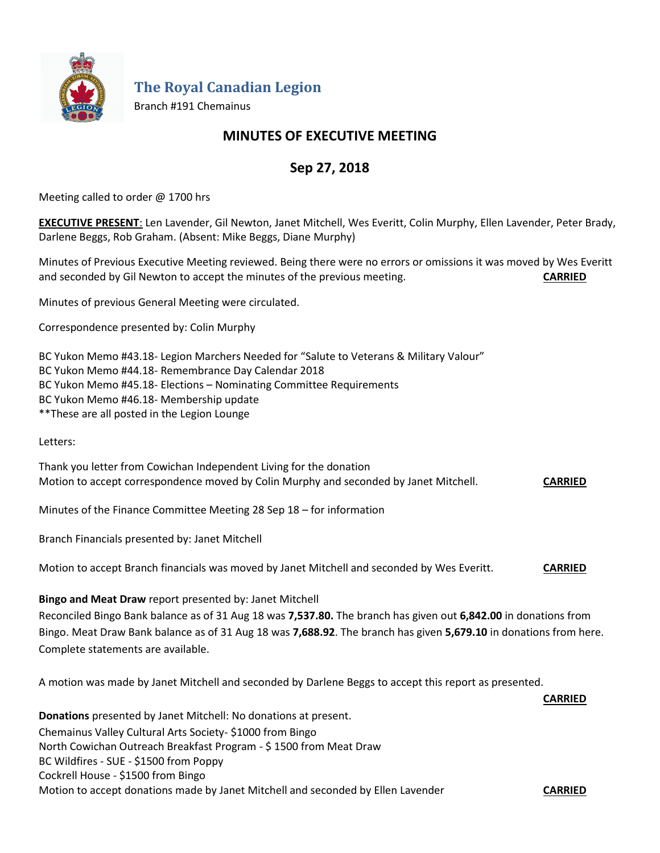

**The Royal Canadian Legion**

Branch #191 Chemainus

# **MINUTES OF EXECUTIVE MEETING**

# **Sep 27, 2018**

Meeting called to order @ 1700 hrs

**EXECUTIVE PRESENT**: Len Lavender, Gil Newton, Janet Mitchell, Wes Everitt, Colin Murphy, Ellen Lavender, Peter Brady, Darlene Beggs, Rob Graham. (Absent: Mike Beggs, Diane Murphy)

Minutes of Previous Executive Meeting reviewed. Being there were no errors or omissions it was moved by Wes Everitt and seconded by Gil Newton to accept the minutes of the previous meeting. **CARRIED**

Minutes of previous General Meeting were circulated.

Correspondence presented by: Colin Murphy

BC Yukon Memo #43.18- Legion Marchers Needed for "Salute to Veterans & Military Valour" BC Yukon Memo #44.18- Remembrance Day Calendar 2018 BC Yukon Memo #45.18- Elections – Nominating Committee Requirements BC Yukon Memo #46.18- Membership update \*\*These are all posted in the Legion Lounge

Letters:

Thank you letter from Cowichan Independent Living for the donation Motion to accept correspondence moved by Colin Murphy and seconded by Janet Mitchell. **CARRIED**

Minutes of the Finance Committee Meeting 28 Sep 18 – for information

Branch Financials presented by: Janet Mitchell

Motion to accept Branch financials was moved by Janet Mitchell and seconded by Wes Everitt. **CARRIED**

**Bingo and Meat Draw** report presented by: Janet Mitchell

Reconciled Bingo Bank balance as of 31 Aug 18 was **7,537.80.** The branch has given out **6,842.00** in donations from Bingo. Meat Draw Bank balance as of 31 Aug 18 was **7,688.92**. The branch has given **5,679.10** in donations from here. Complete statements are available.

**CARRIED**

A motion was made by Janet Mitchell and seconded by Darlene Beggs to accept this report as presented.

**Donations** presented by Janet Mitchell: No donations at present. Chemainus Valley Cultural Arts Society- \$1000 from Bingo North Cowichan Outreach Breakfast Program - \$ 1500 from Meat Draw BC Wildfires - SUE - \$1500 from Poppy Cockrell House - \$1500 from Bingo Motion to accept donations made by Janet Mitchell and seconded by Ellen Lavender **CARRIED**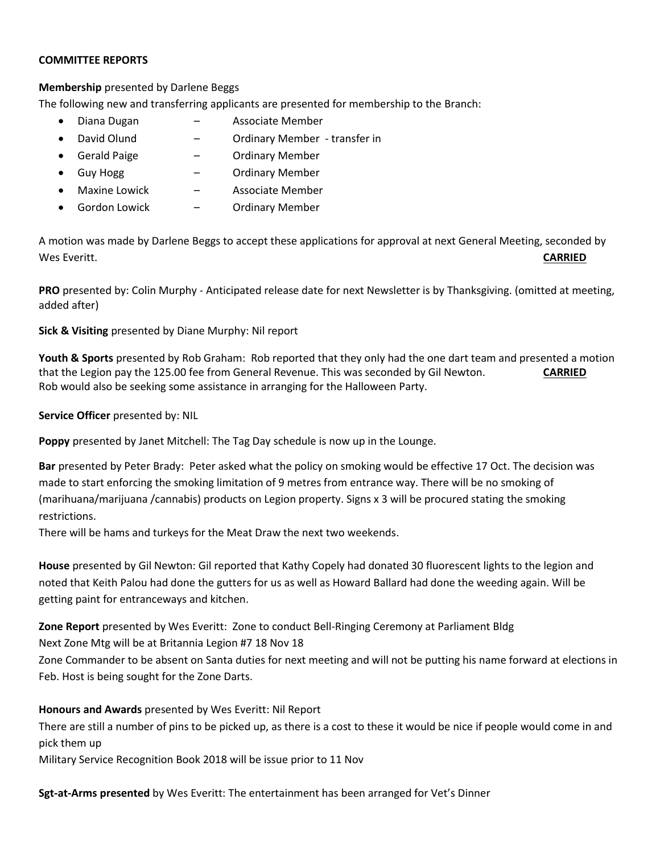#### **COMMITTEE REPORTS**

### **Membership** presented by Darlene Beggs

The following new and transferring applicants are presented for membership to the Branch:

- Diana Dugan Associate Member
- David Olund Ordinary Member transfer in
- Gerald Paige Ordinary Member
	- Guy Hogg Ordinary Member
- Maxine Lowick  $\qquad -$  Associate Member
- Gordon Lowick Ordinary Member

A motion was made by Darlene Beggs to accept these applications for approval at next General Meeting, seconded by Wes Everitt. **CARRIED**

**PRO** presented by: Colin Murphy - Anticipated release date for next Newsletter is by Thanksgiving. (omitted at meeting, added after)

### **Sick & Visiting** presented by Diane Murphy: Nil report

**Youth & Sports** presented by Rob Graham: Rob reported that they only had the one dart team and presented a motion that the Legion pay the 125.00 fee from General Revenue. This was seconded by Gil Newton. **CARRIED** Rob would also be seeking some assistance in arranging for the Halloween Party.

### **Service Officer** presented by: NIL

**Poppy** presented by Janet Mitchell: The Tag Day schedule is now up in the Lounge.

**Bar** presented by Peter Brady: Peter asked what the policy on smoking would be effective 17 Oct. The decision was made to start enforcing the smoking limitation of 9 metres from entrance way. There will be no smoking of (marihuana/marijuana /cannabis) products on Legion property. Signs x 3 will be procured stating the smoking restrictions.

There will be hams and turkeys for the Meat Draw the next two weekends.

**House** presented by Gil Newton: Gil reported that Kathy Copely had donated 30 fluorescent lights to the legion and noted that Keith Palou had done the gutters for us as well as Howard Ballard had done the weeding again. Will be getting paint for entranceways and kitchen.

**Zone Report** presented by Wes Everitt: Zone to conduct Bell-Ringing Ceremony at Parliament Bldg

Next Zone Mtg will be at Britannia Legion #7 18 Nov 18

Zone Commander to be absent on Santa duties for next meeting and will not be putting his name forward at elections in Feb. Host is being sought for the Zone Darts.

### **Honours and Awards** presented by Wes Everitt: Nil Report

There are still a number of pins to be picked up, as there is a cost to these it would be nice if people would come in and pick them up

Military Service Recognition Book 2018 will be issue prior to 11 Nov

**Sgt-at-Arms presented** by Wes Everitt: The entertainment has been arranged for Vet's Dinner